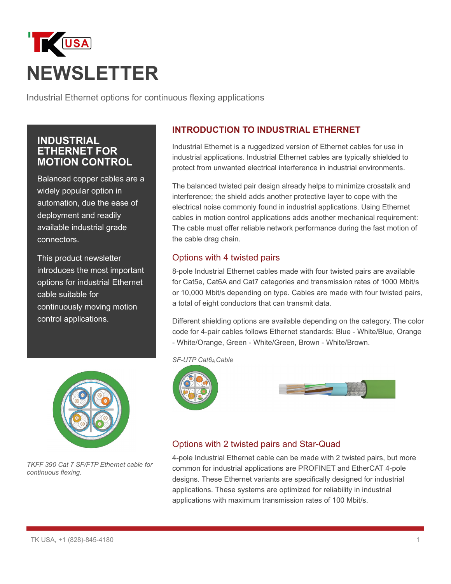# **USA NEWSLETTER**

Industrial Ethernet options for continuous flexing applications

## **INDUSTRIAL ETHERNET FOR MOTION CONTROL**

Balanced copper cables are a widely popular option in automation, due the ease of deployment and readily available industrial grade connectors.

This product newsletter introduces the most important options for industrial Ethernet cable suitable for continuously moving motion control applications.



*TKFF 390 Cat 7 SF/FTP Ethernet cable for continuous flexing.*

## **INTRODUCTION TO INDUSTRIAL ETHERNET**

Industrial Ethernet is a ruggedized version of Ethernet cables for use in industrial applications. Industrial Ethernet cables are typically shielded to protect from unwanted electrical interference in industrial environments.

The balanced twisted pair design already helps to minimize crosstalk and interference; the shield adds another protective layer to cope with the electrical noise commonly found in industrial applications. Using Ethernet cables in motion control applications adds another mechanical requirement: The cable must offer reliable network performance during the fast motion of the cable drag chain.

#### Options with 4 twisted pairs

8-pole Industrial Ethernet cables made with four twisted pairs are available for Cat5e, Cat6A and Cat7 categories and transmission rates of 1000 Mbit/s or 10,000 Mbit/s depending on type. Cables are made with four twisted pairs, a total of eight conductors that can transmit data.

Different shielding options are available depending on the category. The color code for 4-pair cables follows Ethernet standards: Blue - White/Blue, Orange - White/Orange, Green - White/Green, Brown - White/Brown.

*SF-UTP Cat6A Cable*





#### Options with 2 twisted pairs and Star-Quad

4-pole Industrial Ethernet cable can be made with 2 twisted pairs, but more common for industrial applications are PROFINET and EtherCAT 4-pole designs. These Ethernet variants are specifically designed for industrial applications. These systems are optimized for reliability in industrial applications with maximum transmission rates of 100 Mbit/s.